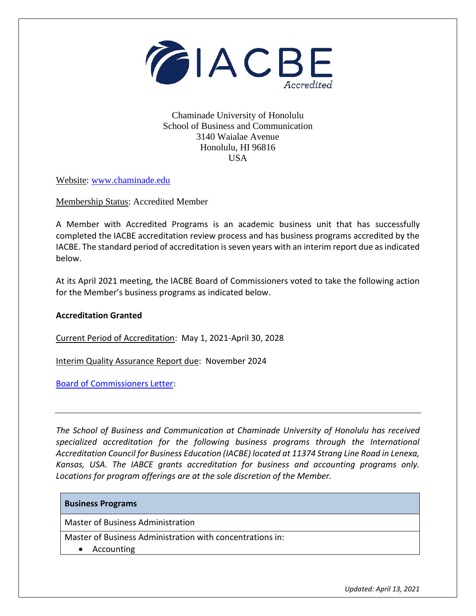

Chaminade University of Honolulu School of Business and Communication 3140 Waialae Avenue Honolulu, HI 96816 USA

Website: [www.chaminade.edu](http://www.chaminade.edu/)

Membership Status: Accredited Member

A Member with Accredited Programs is an academic business unit that has successfully completed the IACBE accreditation review process and has business programs accredited by the IACBE. The standard period of accreditation is seven years with an interim report due as indicated below.

At its April 2021 meeting, the IACBE Board of Commissioners voted to take the following action for the Member's business programs as indicated below.

## **Accreditation Granted**

Current Period of Accreditation: May 1, 2021-April 30, 2028

Interim Quality Assurance Report due: November 2024

[Board of Commissioners Letter:](https://iacbe.org/memberpdf/ChaminadeUniversity-BOCDecisionLetter2020-04Final.pdf)

*The School of Business and Communication at Chaminade University of Honolulu has received specialized accreditation for the following business programs through the International Accreditation Council for Business Education (IACBE) located at 11374 Strang Line Road in Lenexa, Kansas, USA. The IABCE grants accreditation for business and accounting programs only. Locations for program offerings are at the sole discretion of the Member.*

## **Business Programs**

Master of Business Administration

Master of Business Administration with concentrations in:

• Accounting